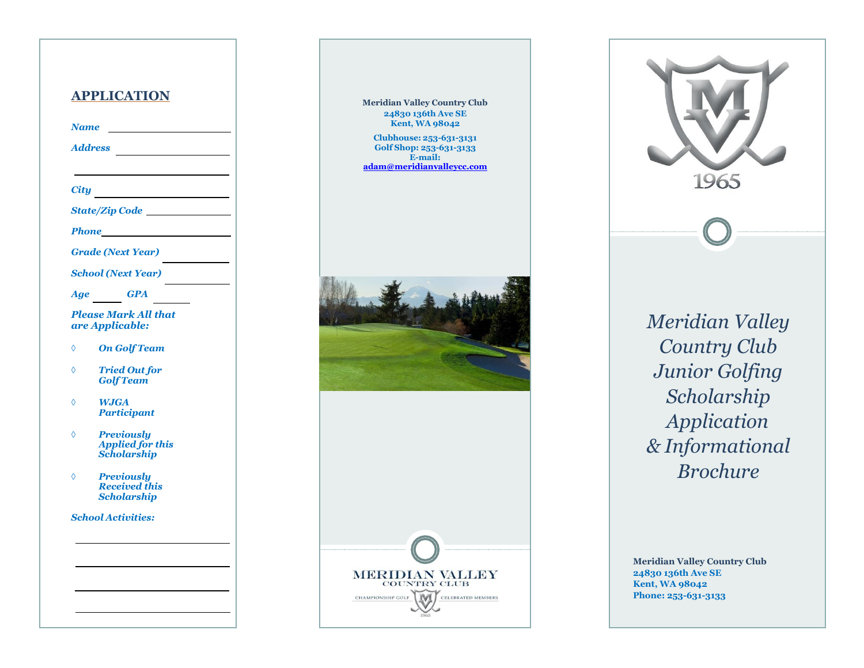#### **APPLICATION**

*Name* 

*Address*

*City*

*State/Zip Code* 

*Phone*

*Grade (Next Year)*

*School (Next Year)*

*Age GPA*

*Please Mark All that are Applicable:*

- *On Golf Team*
- *Tried Out for Golf Team*

 *WJGA Participant*

- *Previously Applied for this Scholarship*
- *Previously Received this Scholarship*

*School Activities:*



**Clubhouse: 253 -631 -3131 Golf Shop: 253 -631 -3133 E -mail: [adam@meridianvalleycc.com](mailto:adam@meridianvalleycc.com)**



**MERIDIAN VALLEY COUNTRY CLUB** 

**CELEBRATED MEMBERS** 

CHAMPIONSHIP GOLF

*Meridian Valley Country Club Junior Golfing Scholarship Application & Informational Brochure*

1965

**Meridian Valley Country Club 24830 136th Ave SE Kent, WA 98042 Phone: 253 -631 -3133**